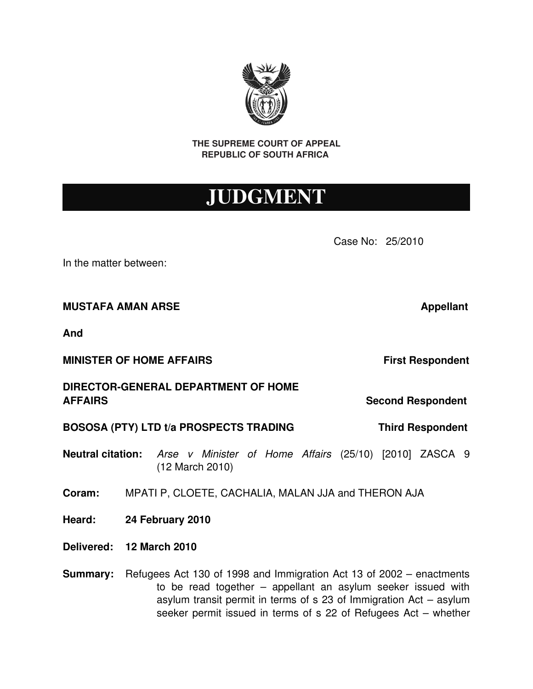**THE SUPREME COURT OF APPEAL REPUBLIC OF SOUTH AFRICA** 

## JUDGMENT

Case No: 25/2010

In the matter between:

**MUSTAFA AMAN ARSE 1999 TELEVISION CONTRACT APPROXIMATE APPROXIMATE APPROXIMATE OF APPROXIMATE APPROXIMATE** 

**And**

**MINISTER OF HOME AFFAIRS In the Second Section 1 and Section 1 and Section 1 and Section 1 and Section 1 and Section 1 and Section 1 and Section 1 and Section 1 and Section 1 and Section 1 and Section 1 and Section 1 a** 

**DIRECTOR-GENERAL DEPARTMENT OF HOME AFFAIRS Second Respondent**

**BOSOSA (PTY) LTD t/a PROSPECTS TRADING Third Respondent**

**Neutral citation:** *Arse v Minister of Home Affairs* (25/10) [2010] ZASCA 9 (12 March 2010)

**Coram:** MPATI P, CLOETE, CACHALIA, MALAN JJA and THERON AJA

- **Heard: 24 February 2010**
- **Delivered: 12 March 2010**
- **Summary:** Refugees Act 130 of 1998 and Immigration Act 13 of 2002 enactments to be read together  $-$  appellant an asylum seeker issued with asylum transit permit in terms of s 23 of Immigration Act – asylum seeker permit issued in terms of s 22 of Refugees Act – whether

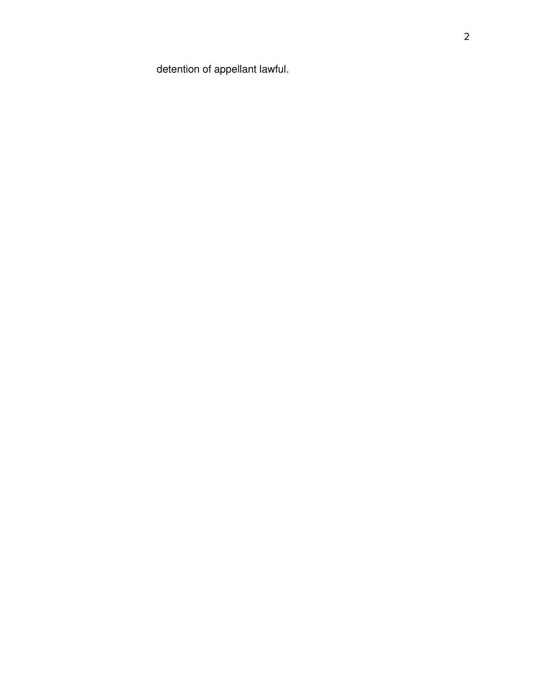detention of appellant lawful.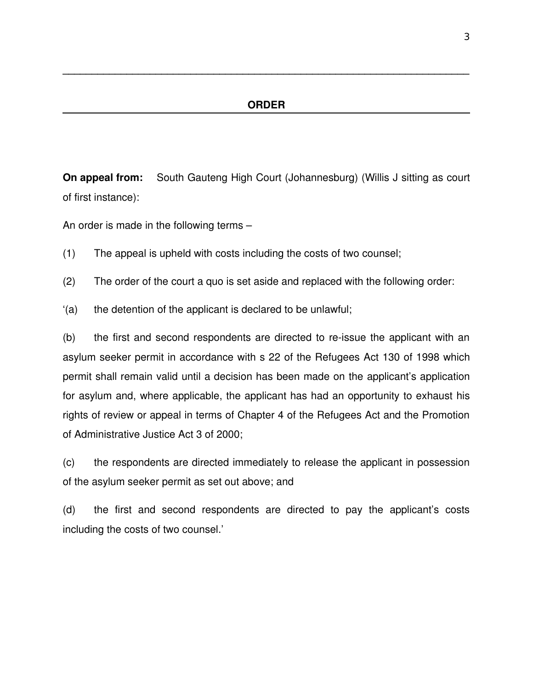**\_\_\_\_\_\_\_\_\_\_\_\_\_\_\_\_\_\_\_\_\_\_\_\_\_\_\_\_\_\_\_\_\_\_\_\_\_\_\_\_\_\_\_\_\_\_\_\_\_\_\_\_\_\_\_\_\_\_\_\_\_\_\_\_\_\_\_\_\_\_**

**On appeal from:** South Gauteng High Court (Johannesburg) (Willis J sitting as court of first instance):

An order is made in the following terms –

- (1) The appeal is upheld with costs including the costs of two counsel;
- (2) The order of the court a quo is set aside and replaced with the following order:
- '(a) the detention of the applicant is declared to be unlawful;

 $(b)$  the first and second respondents are directed to re-issue the applicant with an asylum seeker permit in accordance with s 22 of the Refugees Act 130 of 1998 which permit shall remain valid until a decision has been made on the applicant's application for asylum and, where applicable, the applicant has had an opportunity to exhaust his rights of review or appeal in terms of Chapter 4 of the Refugees Act and the Promotion of Administrative Justice Act 3 of 2000;

(c) the respondents are directed immediately to release the applicant in possession of the asylum seeker permit as set out above; and

(d) the first and second respondents are directed to pay the applicant's costs including the costs of two counsel.'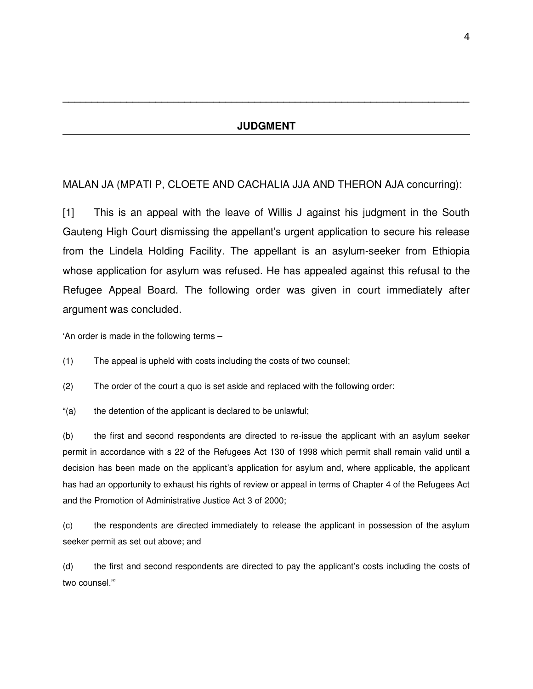**\_\_\_\_\_\_\_\_\_\_\_\_\_\_\_\_\_\_\_\_\_\_\_\_\_\_\_\_\_\_\_\_\_\_\_\_\_\_\_\_\_\_\_\_\_\_\_\_\_\_\_\_\_\_\_\_\_\_\_\_\_\_\_\_\_\_\_\_\_\_**

## MALAN JA (MPATI P, CLOETE AND CACHALIA JJA AND THERON AJA concurring):

[1] This is an appeal with the leave of Willis J against his judgment in the South Gauteng High Court dismissing the appellant's urgent application to secure his release from the Lindela Holding Facility. The appellant is an asylum-seeker from Ethiopia whose application for asylum was refused. He has appealed against this refusal to the Refugee Appeal Board. The following order was given in court immediately after argument was concluded.

'An order is made in the following terms –

(1) The appeal is upheld with costs including the costs of two counsel;

(2) The order of the court a quo is set aside and replaced with the following order:

"(a) the detention of the applicant is declared to be unlawful;

(b) the first and second respondents are directed to re-issue the applicant with an asylum seeker permit in accordance with s 22 of the Refugees Act 130 of 1998 which permit shall remain valid until a decision has been made on the applicant's application for asylum and, where applicable, the applicant has had an opportunity to exhaust his rights of review or appeal in terms of Chapter 4 of the Refugees Act and the Promotion of Administrative Justice Act 3 of 2000;

(c) the respondents are directed immediately to release the applicant in possession of the asylum seeker permit as set out above; and

(d) the first and second respondents are directed to pay the applicant's costs including the costs of two counsel."'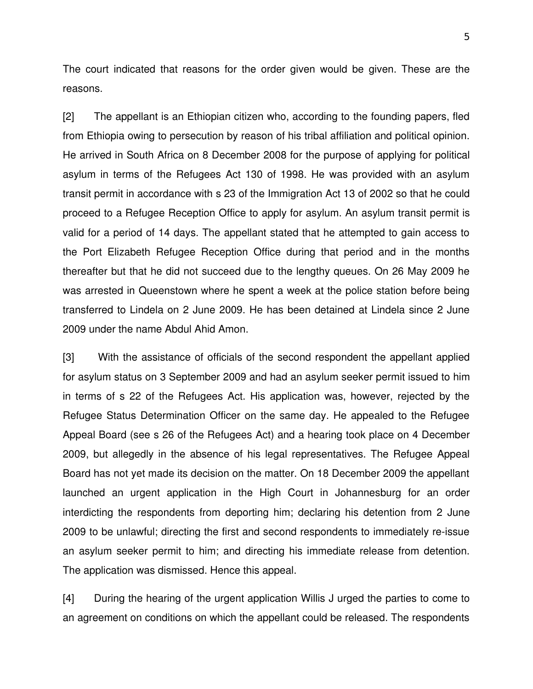The court indicated that reasons for the order given would be given. These are the reasons.

[2] The appellant is an Ethiopian citizen who, according to the founding papers, fled from Ethiopia owing to persecution by reason of his tribal affiliation and political opinion. He arrived in South Africa on 8 December 2008 for the purpose of applying for political asylum in terms of the Refugees Act 130 of 1998. He was provided with an asylum transit permit in accordance with s 23 of the Immigration Act 13 of 2002 so that he could proceed to a Refugee Reception Office to apply for asylum. An asylum transit permit is valid for a period of 14 days. The appellant stated that he attempted to gain access to the Port Elizabeth Refugee Reception Office during that period and in the months thereafter but that he did not succeed due to the lengthy queues. On 26 May 2009 he was arrested in Queenstown where he spent a week at the police station before being transferred to Lindela on 2 June 2009. He has been detained at Lindela since 2 June 2009 under the name Abdul Ahid Amon.

[3] With the assistance of officials of the second respondent the appellant applied for asylum status on 3 September 2009 and had an asylum seeker permit issued to him in terms of s 22 of the Refugees Act. His application was, however, rejected by the Refugee Status Determination Officer on the same day. He appealed to the Refugee Appeal Board (see s 26 of the Refugees Act) and a hearing took place on 4 December 2009, but allegedly in the absence of his legal representatives. The Refugee Appeal Board has not yet made its decision on the matter. On 18 December 2009 the appellant launched an urgent application in the High Court in Johannesburg for an order interdicting the respondents from deporting him; declaring his detention from 2 June 2009 to be unlawful; directing the first and second respondents to immediately re-issue an asylum seeker permit to him; and directing his immediate release from detention. The application was dismissed. Hence this appeal.

[4] During the hearing of the urgent application Willis J urged the parties to come to an agreement on conditions on which the appellant could be released. The respondents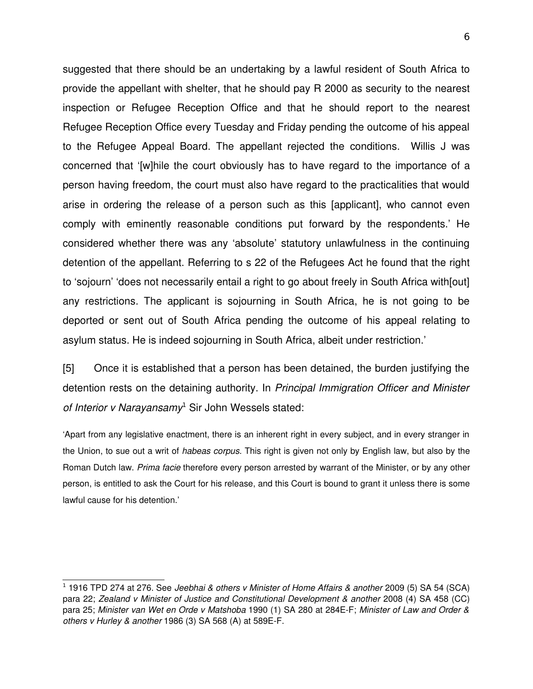suggested that there should be an undertaking by a lawful resident of South Africa to provide the appellant with shelter, that he should pay R 2000 as security to the nearest inspection or Refugee Reception Office and that he should report to the nearest Refugee Reception Office every Tuesday and Friday pending the outcome of his appeal to the Refugee Appeal Board. The appellant rejected the conditions. Willis J was concerned that '[w]hile the court obviously has to have regard to the importance of a person having freedom, the court must also have regard to the practicalities that would arise in ordering the release of a person such as this [applicant], who cannot even comply with eminently reasonable conditions put forward by the respondents.' He considered whether there was any 'absolute' statutory unlawfulness in the continuing detention of the appellant. Referring to s 22 of the Refugees Act he found that the right to 'sojourn' 'does not necessarily entail a right to go about freely in South Africa with[out] any restrictions. The applicant is sojourning in South Africa, he is not going to be deported or sent out of South Africa pending the outcome of his appeal relating to asylum status. He is indeed sojourning in South Africa, albeit under restriction.'

[5] Once it is established that a person has been detained, the burden justifying the detention rests on the detaining authority. In *Principal Immigration Officer and Minister* of Interior v Narayansamy<sup>[1](#page-5-0)</sup> Sir John Wessels stated:

'Apart from any legislative enactment, there is an inherent right in every subject, and in every stranger in the Union, to sue out a writ of *habeas corpus*. This right is given not only by English law, but also by the Roman Dutch law. *Prima facie* therefore every person arrested by warrant of the Minister, or by any other person, is entitled to ask the Court for his release, and this Court is bound to grant it unless there is some lawful cause for his detention.'

<span id="page-5-0"></span><sup>1</sup> 1916 TPD 274 at 276. See *Jeebhai & others v Minister of Home Affairs & another* 2009 (5) SA 54 (SCA) para 22; *Zealand v Minister of Justice and Constitutional Development & another* 2008 (4) SA 458 (CC) para 25; *Minister van Wet en Orde v Matshoba* 1990 (1) SA 280 at 284EF; *Minister of Law and Order &* others v Hurley & another 1986 (3) SA 568 (A) at 589E-F.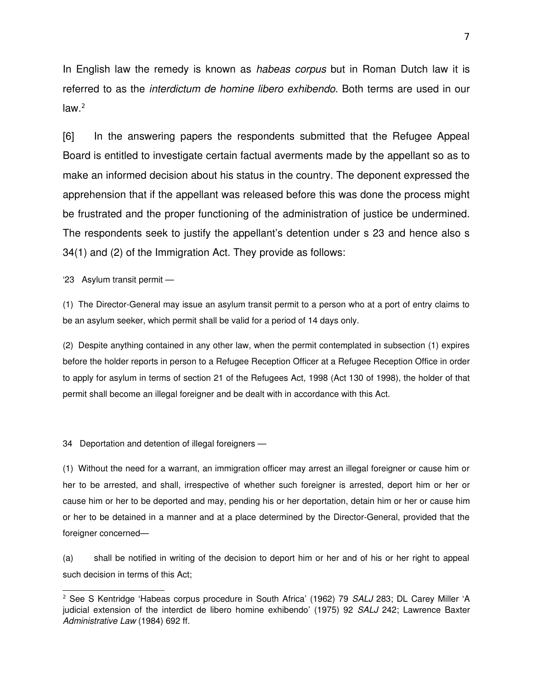In English law the remedy is known as *habeas corpus* but in Roman Dutch law it is referred to as the *interdictum de homine libero exhibendo*. Both terms are used in our  $law.<sup>2</sup>$  $law.<sup>2</sup>$  $law.<sup>2</sup>$ 

[6] In the answering papers the respondents submitted that the Refugee Appeal Board is entitled to investigate certain factual averments made by the appellant so as to make an informed decision about his status in the country. The deponent expressed the apprehension that if the appellant was released before this was done the process might be frustrated and the proper functioning of the administration of justice be undermined. The respondents seek to justify the appellant's detention under s 23 and hence also s 34(1) and (2) of the Immigration Act. They provide as follows:

'23 Asylum transit permit —

(1) The DirectorGeneral may issue an asylum transit permit to a person who at a port of entry claims to be an asylum seeker, which permit shall be valid for a period of 14 days only.

(2) Despite anything contained in any other law, when the permit contemplated in subsection (1) expires before the holder reports in person to a Refugee Reception Officer at a Refugee Reception Office in order to apply for asylum in terms of section 21 of the Refugees Act, 1998 (Act 130 of 1998), the holder of that permit shall become an illegal foreigner and be dealt with in accordance with this Act.

34 Deportation and detention of illegal foreigners —

(1) Without the need for a warrant, an immigration officer may arrest an illegal foreigner or cause him or her to be arrested, and shall, irrespective of whether such foreigner is arrested, deport him or her or cause him or her to be deported and may, pending his or her deportation, detain him or her or cause him or her to be detained in a manner and at a place determined by the DirectorGeneral, provided that the foreigner concerned—

(a) shall be notified in writing of the decision to deport him or her and of his or her right to appeal such decision in terms of this Act;

<span id="page-6-0"></span><sup>2</sup> See S Kentridge 'Habeas corpus procedure in South Africa' (1962) 79 *SALJ* 283; DL Carey Miller 'A judicial extension of the interdict de libero homine exhibendo' (1975) 92 *SALJ* 242; Lawrence Baxter *Administrative Law* (1984) 692 ff.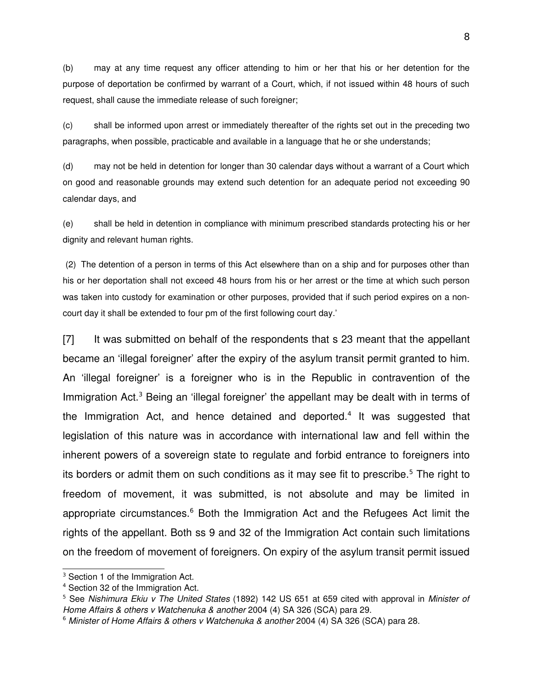(b) may at any time request any officer attending to him or her that his or her detention for the purpose of deportation be confirmed by warrant of a Court, which, if not issued within 48 hours of such request, shall cause the immediate release of such foreigner;

(c) shall be informed upon arrest or immediately thereafter of the rights set out in the preceding two paragraphs, when possible, practicable and available in a language that he or she understands;

(d) may not be held in detention for longer than 30 calendar days without a warrant of a Court which on good and reasonable grounds may extend such detention for an adequate period not exceeding 90 calendar days, and

(e) shall be held in detention in compliance with minimum prescribed standards protecting his or her dignity and relevant human rights.

 (2) The detention of a person in terms of this Act elsewhere than on a ship and for purposes other than his or her deportation shall not exceed 48 hours from his or her arrest or the time at which such person was taken into custody for examination or other purposes, provided that if such period expires on a noncourt day it shall be extended to four pm of the first following court day.'

[7] It was submitted on behalf of the respondents that s 23 meant that the appellant became an 'illegal foreigner' after the expiry of the asylum transit permit granted to him. An 'illegal foreigner' is a foreigner who is in the Republic in contravention of the Immigration Act.<sup>[3](#page-7-0)</sup> Being an 'illegal foreigner' the appellant may be dealt with in terms of the Immigration Act, and hence detained and deported.<sup>[4](#page-7-1)</sup> It was suggested that legislation of this nature was in accordance with international law and fell within the inherent powers of a sovereign state to regulate and forbid entrance to foreigners into its borders or admit them on such conditions as it may see fit to prescribe.<sup>[5](#page-7-2)</sup> The right to freedom of movement, it was submitted, is not absolute and may be limited in appropriate circumstances.<sup>[6](#page-7-3)</sup> Both the Immigration Act and the Refugees Act limit the rights of the appellant. Both ss 9 and 32 of the Immigration Act contain such limitations on the freedom of movement of foreigners. On expiry of the asylum transit permit issued

<span id="page-7-0"></span><sup>&</sup>lt;sup>3</sup> Section 1 of the Immigration Act.

<span id="page-7-1"></span><sup>4</sup> Section 32 of the Immigration Act.

<span id="page-7-2"></span><sup>5</sup> See *Nishimura Ekiu v The United States* (1892) 142 US 651 at 659 cited with approval in *Minister of Home Affairs & others v Watchenuka & another* 2004 (4) SA 326 (SCA) para 29.

<span id="page-7-3"></span><sup>6</sup> *Minister of Home Affairs & others v Watchenuka & another* 2004 (4) SA 326 (SCA) para 28.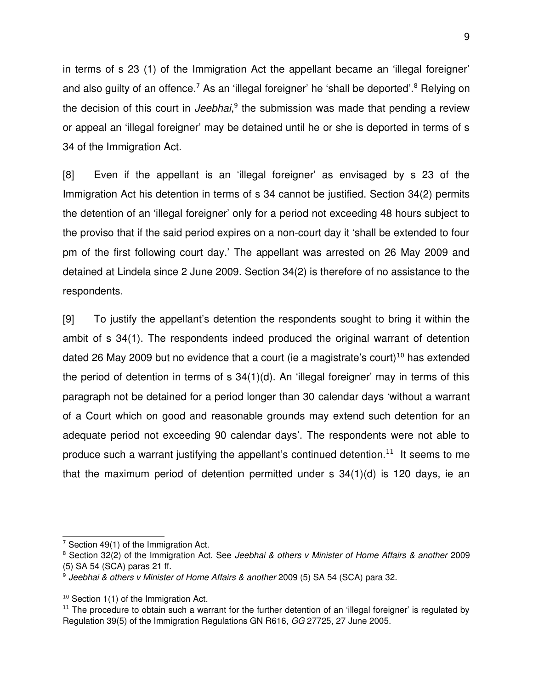in terms of s 23 (1) of the Immigration Act the appellant became an 'illegal foreigner' and also guilty of an offence.<sup>[7](#page-8-0)</sup> As an 'illegal foreigner' he 'shall be deported'.<sup>[8](#page-8-1)</sup> Relying on the decision of this court in *Jeebhai*,<sup>[9](#page-8-2)</sup> the submission was made that pending a review or appeal an 'illegal foreigner' may be detained until he or she is deported in terms of s 34 of the Immigration Act.

[8] Even if the appellant is an 'illegal foreigner' as envisaged by s 23 of the Immigration Act his detention in terms of s 34 cannot be justified. Section 34(2) permits the detention of an 'illegal foreigner' only for a period not exceeding 48 hours subject to the proviso that if the said period expires on a non-court day it 'shall be extended to four pm of the first following court day.' The appellant was arrested on 26 May 2009 and detained at Lindela since 2 June 2009. Section 34(2) is therefore of no assistance to the respondents.

[9] To justify the appellant's detention the respondents sought to bring it within the ambit of s 34(1). The respondents indeed produced the original warrant of detention dated 26 May 2009 but no evidence that a court (ie a magistrate's court)<sup>[10](#page-8-3)</sup> has extended the period of detention in terms of s 34(1)(d). An 'illegal foreigner' may in terms of this paragraph not be detained for a period longer than 30 calendar days 'without a warrant of a Court which on good and reasonable grounds may extend such detention for an adequate period not exceeding 90 calendar days'. The respondents were not able to produce such a warrant justifying the appellant's continued detention.<sup>[11](#page-8-4)</sup> It seems to me that the maximum period of detention permitted under s 34(1)(d) is 120 days, ie an

<span id="page-8-0"></span> $7$  Section 49(1) of the Immigration Act.

<span id="page-8-1"></span><sup>8</sup> Section 32(2) of the Immigration Act. See *Jeebhai & others v Minister of Home Affairs & another* 2009 (5) SA 54 (SCA) paras 21 ff.

<span id="page-8-2"></span><sup>9</sup> *Jeebhai & others v Minister of Home Affairs & another* 2009 (5) SA 54 (SCA) para 32.

<span id="page-8-3"></span> $10$  Section 1(1) of the Immigration Act.

<span id="page-8-4"></span><sup>&</sup>lt;sup>11</sup> The procedure to obtain such a warrant for the further detention of an 'illegal foreigner' is regulated by Regulation 39(5) of the Immigration Regulations GN R616, *GG* 27725, 27 June 2005.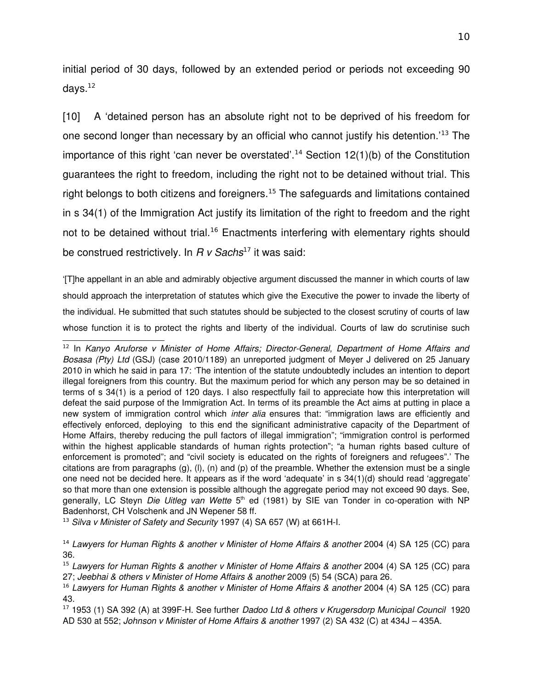initial period of 30 days, followed by an extended period or periods not exceeding 90 days. $^{12}$  $^{12}$  $^{12}$ 

[10] A 'detained person has an absolute right not to be deprived of his freedom for one second longer than necessary by an official who cannot justify his detention.'[13](#page-9-1) The importance of this right 'can never be overstated'.<sup>[14](#page-9-2)</sup> Section 12(1)(b) of the Constitution guarantees the right to freedom, including the right not to be detained without trial. This right belongs to both citizens and foreigners.<sup>[15](#page-9-3)</sup> The safeguards and limitations contained in s 34(1) of the Immigration Act justify its limitation of the right to freedom and the right not to be detained without trial.<sup>[16](#page-9-4)</sup> Enactments interfering with elementary rights should be construed restrictively. In *R v Sachs*<sup>[17](#page-9-5)</sup> it was said:

'[T]he appellant in an able and admirably objective argument discussed the manner in which courts of law should approach the interpretation of statutes which give the Executive the power to invade the liberty of the individual. He submitted that such statutes should be subjected to the closest scrutiny of courts of law whose function it is to protect the rights and liberty of the individual. Courts of law do scrutinise such

<span id="page-9-1"></span><sup>13</sup> *Silva v Minister of Safety and Security* 1997 (4) SA 657 (W) at 661H-I.

<span id="page-9-0"></span><sup>&</sup>lt;sup>12</sup> In Kanyo Aruforse v Minister of Home Affairs; Director-General, Department of Home Affairs and *Bosasa (Pty) Ltd* (GSJ) (case 2010/1189) an unreported judgment of Meyer J delivered on 25 January 2010 in which he said in para 17: 'The intention of the statute undoubtedly includes an intention to deport illegal foreigners from this country. But the maximum period for which any person may be so detained in terms of s 34(1) is a period of 120 days. I also respectfully fail to appreciate how this interpretation will defeat the said purpose of the Immigration Act. In terms of its preamble the Act aims at putting in place a new system of immigration control which *inter alia* ensures that: "immigration laws are efficiently and effectively enforced, deploying to this end the significant administrative capacity of the Department of Home Affairs, thereby reducing the pull factors of illegal immigration"; "immigration control is performed within the highest applicable standards of human rights protection"; "a human rights based culture of enforcement is promoted"; and "civil society is educated on the rights of foreigners and refugees".' The citations are from paragraphs  $(g)$ ,  $(h)$ ,  $(n)$  and  $(p)$  of the preamble. Whether the extension must be a single one need not be decided here. It appears as if the word 'adequate' in s 34(1)(d) should read 'aggregate' so that more than one extension is possible although the aggregate period may not exceed 90 days. See, generally, LC Steyn *Die Uitleg van Wette* 5<sup>th</sup> ed (1981) by SIE van Tonder in co-operation with NP Badenhorst, CH Volschenk and JN Wepener 58 ff.

<span id="page-9-2"></span><sup>14</sup> *Lawyers for Human Rights & another v Minister of Home Affairs & another* 2004 (4) SA 125 (CC) para 36.

<span id="page-9-3"></span><sup>15</sup> *Lawyers for Human Rights & another v Minister of Home Affairs & another* 2004 (4) SA 125 (CC) para 27; *Jeebhai & others v Minister of Home Affairs & another* 2009 (5) 54 (SCA) para 26.

<span id="page-9-4"></span><sup>&</sup>lt;sup>16</sup> Lawyers for Human Rights & another v Minister of Home Affairs & another 2004 (4) SA 125 (CC) para 43.

<span id="page-9-5"></span><sup>17</sup> 1953 (1) SA 392 (A) at 399FH. See further *Dadoo Ltd & others v Krugersdorp Municipal Council*  1920 AD 530 at 552; *Johnson v Minister of Home Affairs & another* 1997 (2) SA 432 (C) at 434J – 435A.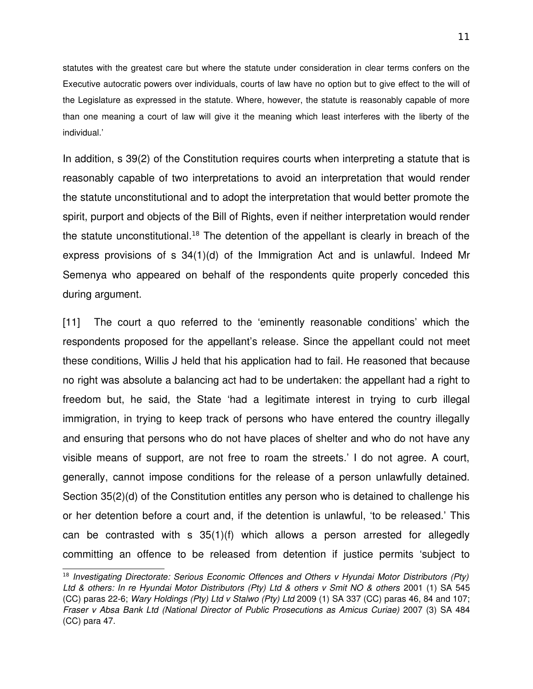statutes with the greatest care but where the statute under consideration in clear terms confers on the Executive autocratic powers over individuals, courts of law have no option but to give effect to the will of the Legislature as expressed in the statute. Where, however, the statute is reasonably capable of more than one meaning a court of law will give it the meaning which least interferes with the liberty of the individual.'

In addition, s 39(2) of the Constitution requires courts when interpreting a statute that is reasonably capable of two interpretations to avoid an interpretation that would render the statute unconstitutional and to adopt the interpretation that would better promote the spirit, purport and objects of the Bill of Rights, even if neither interpretation would render the statute unconstitutional.<sup>[18](#page-10-0)</sup> The detention of the appellant is clearly in breach of the express provisions of s 34(1)(d) of the Immigration Act and is unlawful. Indeed Mr Semenya who appeared on behalf of the respondents quite properly conceded this during argument.

[11] The court a quo referred to the 'eminently reasonable conditions' which the respondents proposed for the appellant's release. Since the appellant could not meet these conditions, Willis J held that his application had to fail. He reasoned that because no right was absolute a balancing act had to be undertaken: the appellant had a right to freedom but, he said, the State 'had a legitimate interest in trying to curb illegal immigration, in trying to keep track of persons who have entered the country illegally and ensuring that persons who do not have places of shelter and who do not have any visible means of support, are not free to roam the streets.' I do not agree. A court, generally, cannot impose conditions for the release of a person unlawfully detained. Section 35(2)(d) of the Constitution entitles any person who is detained to challenge his or her detention before a court and, if the detention is unlawful, 'to be released.' This can be contrasted with  $s$   $35(1)(f)$  which allows a person arrested for allegedly committing an offence to be released from detention if justice permits 'subject to

<span id="page-10-0"></span><sup>18</sup> *Investigating Directorate: Serious Economic Offences and Others v Hyundai Motor Distributors (Pty)* Ltd & others: In re Hyundai Motor Distributors (Pty) Ltd & others v Smit NO & others 2001 (1) SA 545 (CC) paras 226; *Wary Holdings (Pty) Ltd v Stalwo (Pty) Ltd* 2009 (1) SA 337 (CC) paras 46, 84 and 107; *Fraser v Absa Bank Ltd (National Director of Public Prosecutions as Amicus Curiae)* 2007 (3) SA 484 (CC) para 47.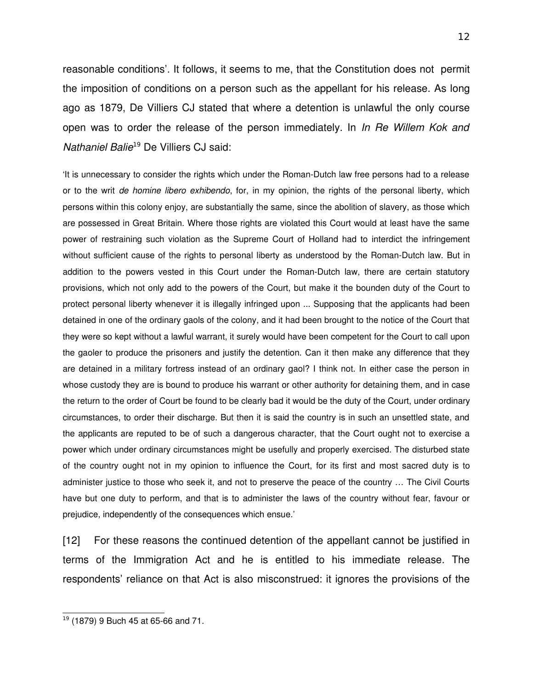reasonable conditions'. It follows, it seems to me, that the Constitution does not permit the imposition of conditions on a person such as the appellant for his release. As long ago as 1879, De Villiers CJ stated that where a detention is unlawful the only course open was to order the release of the person immediately. In *In Re Willem Kok and Nathaniel Balie*[19](#page-11-0) De Villiers CJ said:

It is unnecessary to consider the rights which under the Roman-Dutch law free persons had to a release or to the writ *de homine libero exhibendo*, for, in my opinion, the rights of the personal liberty, which persons within this colony enjoy, are substantially the same, since the abolition of slavery, as those which are possessed in Great Britain. Where those rights are violated this Court would at least have the same power of restraining such violation as the Supreme Court of Holland had to interdict the infringement without sufficient cause of the rights to personal liberty as understood by the Roman-Dutch law. But in addition to the powers vested in this Court under the Roman-Dutch law, there are certain statutory provisions, which not only add to the powers of the Court, but make it the bounden duty of the Court to protect personal liberty whenever it is illegally infringed upon ... Supposing that the applicants had been detained in one of the ordinary gaols of the colony, and it had been brought to the notice of the Court that they were so kept without a lawful warrant, it surely would have been competent for the Court to call upon the gaoler to produce the prisoners and justify the detention. Can it then make any difference that they are detained in a military fortress instead of an ordinary gaol? I think not. In either case the person in whose custody they are is bound to produce his warrant or other authority for detaining them, and in case the return to the order of Court be found to be clearly bad it would be the duty of the Court, under ordinary circumstances, to order their discharge. But then it is said the country is in such an unsettled state, and the applicants are reputed to be of such a dangerous character, that the Court ought not to exercise a power which under ordinary circumstances might be usefully and properly exercised. The disturbed state of the country ought not in my opinion to influence the Court, for its first and most sacred duty is to administer justice to those who seek it, and not to preserve the peace of the country … The Civil Courts have but one duty to perform, and that is to administer the laws of the country without fear, favour or prejudice, independently of the consequences which ensue.'

[12] For these reasons the continued detention of the appellant cannot be justified in terms of the Immigration Act and he is entitled to his immediate release. The respondents' reliance on that Act is also misconstrued: it ignores the provisions of the

<span id="page-11-0"></span> $19$  (1879) 9 Buch 45 at 65-66 and 71.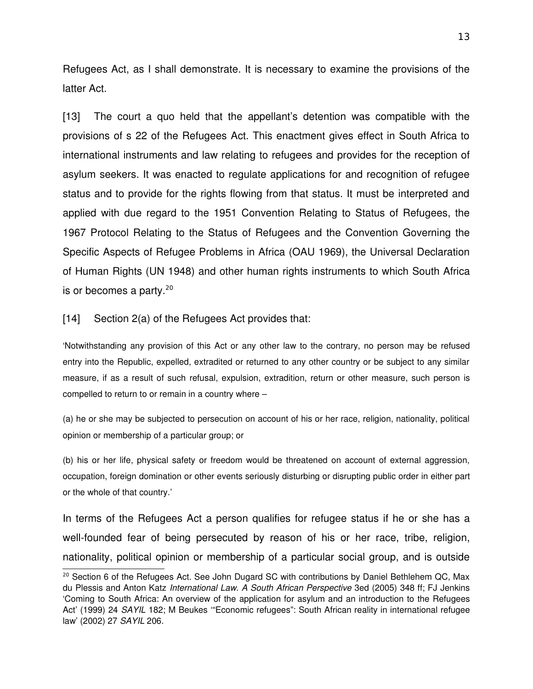Refugees Act, as I shall demonstrate. It is necessary to examine the provisions of the latter Act.

[13] The court a quo held that the appellant's detention was compatible with the provisions of s 22 of the Refugees Act. This enactment gives effect in South Africa to international instruments and law relating to refugees and provides for the reception of asylum seekers. It was enacted to regulate applications for and recognition of refugee status and to provide for the rights flowing from that status. It must be interpreted and applied with due regard to the 1951 Convention Relating to Status of Refugees, the 1967 Protocol Relating to the Status of Refugees and the Convention Governing the Specific Aspects of Refugee Problems in Africa (OAU 1969), the Universal Declaration of Human Rights (UN 1948) and other human rights instruments to which South Africa is or becomes a party.<sup>[20](#page-12-0)</sup>

[14] Section 2(a) of the Refugees Act provides that:

'Notwithstanding any provision of this Act or any other law to the contrary, no person may be refused entry into the Republic, expelled, extradited or returned to any other country or be subject to any similar measure, if as a result of such refusal, expulsion, extradition, return or other measure, such person is compelled to return to or remain in a country where –

(a) he or she may be subjected to persecution on account of his or her race, religion, nationality, political opinion or membership of a particular group; or

(b) his or her life, physical safety or freedom would be threatened on account of external aggression, occupation, foreign domination or other events seriously disturbing or disrupting public order in either part or the whole of that country.'

In terms of the Refugees Act a person qualifies for refugee status if he or she has a well-founded fear of being persecuted by reason of his or her race, tribe, religion, nationality, political opinion or membership of a particular social group, and is outside

<span id="page-12-0"></span><sup>&</sup>lt;sup>20</sup> Section 6 of the Refugees Act. See John Dugard SC with contributions by Daniel Bethlehem QC, Max du Plessis and Anton Katz *International Law. A South African Perspective* 3ed (2005) 348 ff; FJ Jenkins 'Coming to South Africa: An overview of the application for asylum and an introduction to the Refugees Act' (1999) 24 *SAYIL* 182; M Beukes "Economic refugees": South African reality in international refugee law' (2002) 27 *SAYIL* 206.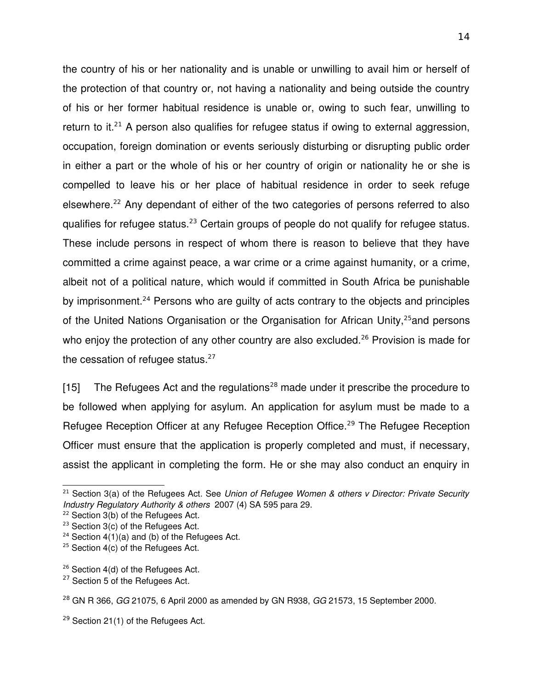the country of his or her nationality and is unable or unwilling to avail him or herself of the protection of that country or, not having a nationality and being outside the country of his or her former habitual residence is unable or, owing to such fear, unwilling to return to it.<sup>[21](#page-13-0)</sup> A person also qualifies for refugee status if owing to external aggression, occupation, foreign domination or events seriously disturbing or disrupting public order in either a part or the whole of his or her country of origin or nationality he or she is compelled to leave his or her place of habitual residence in order to seek refuge elsewhere.<sup>[22](#page-13-1)</sup> Any dependant of either of the two categories of persons referred to also qualifies for refugee status.<sup>[23](#page-13-2)</sup> Certain groups of people do not qualify for refugee status. These include persons in respect of whom there is reason to believe that they have committed a crime against peace, a war crime or a crime against humanity, or a crime, albeit not of a political nature, which would if committed in South Africa be punishable by imprisonment.<sup>[24](#page-13-3)</sup> Persons who are guilty of acts contrary to the objects and principles of the United Nations Organisation or the Organisation for African Unity,<sup>[25](#page-13-4)</sup> and persons who enjoy the protection of any other country are also excluded.<sup>[26](#page-13-5)</sup> Provision is made for the cessation of refugee status. $27$ 

[15] The Refugees Act and the regulations<sup>[28](#page-13-7)</sup> made under it prescribe the procedure to be followed when applying for asylum. An application for asylum must be made to a Refugee Reception Officer at any Refugee Reception Office.<sup>[29](#page-13-8)</sup> The Refugee Reception Officer must ensure that the application is properly completed and must, if necessary, assist the applicant in completing the form. He or she may also conduct an enquiry in

<span id="page-13-0"></span><sup>21</sup> Section 3(a) of the Refugees Act. See *Union of Refugee Women & others v Director: Private Security Industry Regulatory Authority & others*  2007 (4) SA 595 para 29.

<span id="page-13-1"></span><sup>&</sup>lt;sup>22</sup> Section 3(b) of the Refugees Act.

<span id="page-13-2"></span><sup>&</sup>lt;sup>23</sup> Section 3(c) of the Refugees Act.

<span id="page-13-3"></span> $24$  Section 4(1)(a) and (b) of the Refugees Act.

<span id="page-13-4"></span> $25$  Section 4(c) of the Refugees Act.

<span id="page-13-5"></span><sup>&</sup>lt;sup>26</sup> Section 4(d) of the Refugees Act.

<span id="page-13-6"></span><sup>&</sup>lt;sup>27</sup> Section 5 of the Refugees Act.

<span id="page-13-7"></span><sup>28</sup> GN R 366, *GG* 21075, 6 April 2000 as amended by GN R938, *GG* 21573, 15 September 2000.

<span id="page-13-8"></span><sup>&</sup>lt;sup>29</sup> Section 21(1) of the Refugees Act.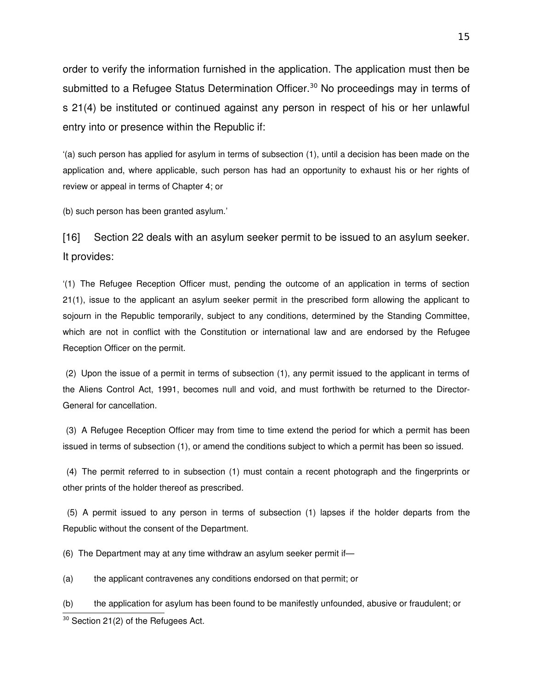order to verify the information furnished in the application. The application must then be submitted to a Refugee Status Determination Officer.<sup>[30](#page-14-0)</sup> No proceedings may in terms of s 21(4) be instituted or continued against any person in respect of his or her unlawful entry into or presence within the Republic if:

'(a) such person has applied for asylum in terms of subsection (1), until a decision has been made on the application and, where applicable, such person has had an opportunity to exhaust his or her rights of review or appeal in terms of Chapter 4; or

(b) such person has been granted asylum.'

[16] Section 22 deals with an asylum seeker permit to be issued to an asylum seeker. It provides:

'(1) The Refugee Reception Officer must, pending the outcome of an application in terms of section 21(1), issue to the applicant an asylum seeker permit in the prescribed form allowing the applicant to sojourn in the Republic temporarily, subject to any conditions, determined by the Standing Committee, which are not in conflict with the Constitution or international law and are endorsed by the Refugee Reception Officer on the permit.

 (2) Upon the issue of a permit in terms of subsection (1), any permit issued to the applicant in terms of the Aliens Control Act, 1991, becomes null and void, and must forthwith be returned to the Director-General for cancellation.

 (3) A Refugee Reception Officer may from time to time extend the period for which a permit has been issued in terms of subsection (1), or amend the conditions subject to which a permit has been so issued.

 (4) The permit referred to in subsection (1) must contain a recent photograph and the fingerprints or other prints of the holder thereof as prescribed.

 (5) A permit issued to any person in terms of subsection (1) lapses if the holder departs from the Republic without the consent of the Department.

(6) The Department may at any time withdraw an asylum seeker permit if—

(a) the applicant contravenes any conditions endorsed on that permit; or

<span id="page-14-0"></span>(b) the application for asylum has been found to be manifestly unfounded, abusive or fraudulent; or <sup>30</sup> Section 21(2) of the Refugees Act.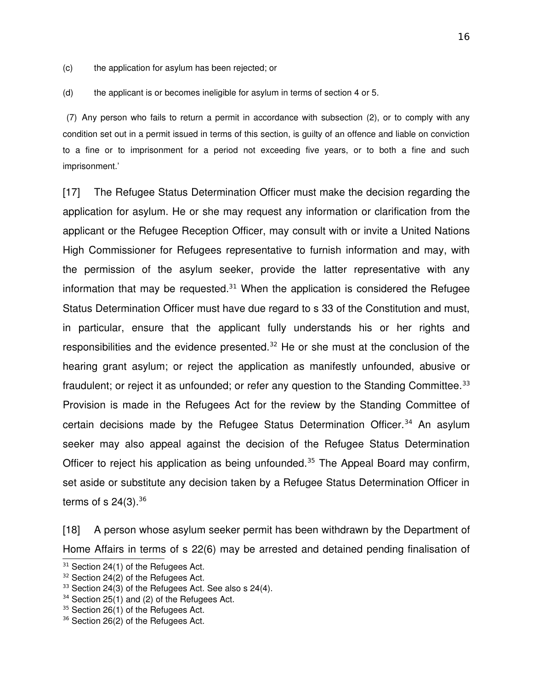(c) the application for asylum has been rejected; or

(d) the applicant is or becomes ineligible for asylum in terms of section 4 or 5.

 (7) Any person who fails to return a permit in accordance with subsection (2), or to comply with any condition set out in a permit issued in terms of this section, is guilty of an offence and liable on conviction to a fine or to imprisonment for a period not exceeding five years, or to both a fine and such imprisonment.'

[17] The Refugee Status Determination Officer must make the decision regarding the application for asylum. He or she may request any information or clarification from the applicant or the Refugee Reception Officer, may consult with or invite a United Nations High Commissioner for Refugees representative to furnish information and may, with the permission of the asylum seeker, provide the latter representative with any information that may be requested. $31$  When the application is considered the Refugee Status Determination Officer must have due regard to s 33 of the Constitution and must, in particular, ensure that the applicant fully understands his or her rights and responsibilities and the evidence presented.[32](#page-15-1) He or she must at the conclusion of the hearing grant asylum; or reject the application as manifestly unfounded, abusive or fraudulent; or reject it as unfounded; or refer any question to the Standing Committee.<sup>[33](#page-15-2)</sup> Provision is made in the Refugees Act for the review by the Standing Committee of certain decisions made by the Refugee Status Determination Officer.<sup>[34](#page-15-3)</sup> An asylum seeker may also appeal against the decision of the Refugee Status Determination Officer to reject his application as being unfounded.<sup>[35](#page-15-4)</sup> The Appeal Board may confirm, set aside or substitute any decision taken by a Refugee Status Determination Officer in terms of s  $24(3).^{36}$  $24(3).^{36}$  $24(3).^{36}$ 

[18] A person whose asylum seeker permit has been withdrawn by the Department of Home Affairs in terms of s 22(6) may be arrested and detained pending finalisation of

<span id="page-15-0"></span> $31$  Section 24(1) of the Refugees Act.

<span id="page-15-1"></span><sup>&</sup>lt;sup>32</sup> Section 24(2) of the Refugees Act.

<span id="page-15-2"></span><sup>&</sup>lt;sup>33</sup> Section 24(3) of the Refugees Act. See also s 24(4).

<span id="page-15-3"></span><sup>&</sup>lt;sup>34</sup> Section 25(1) and (2) of the Refugees Act.

<span id="page-15-4"></span><sup>&</sup>lt;sup>35</sup> Section 26(1) of the Refugees Act.

<span id="page-15-5"></span><sup>&</sup>lt;sup>36</sup> Section 26(2) of the Refugees Act.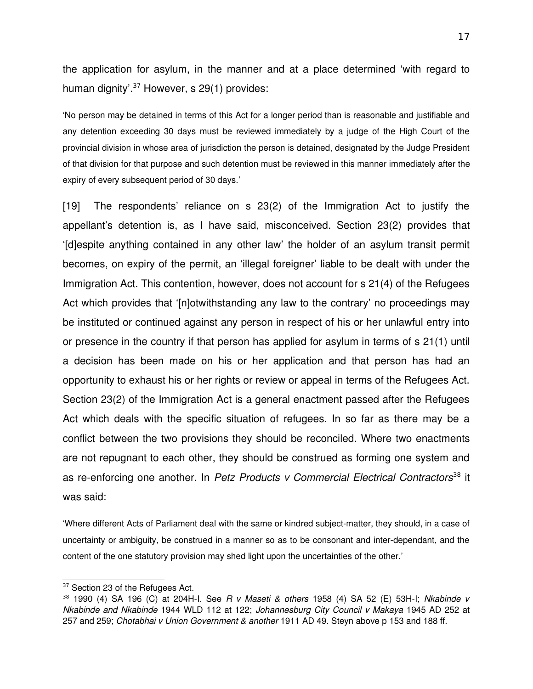the application for asylum, in the manner and at a place determined 'with regard to human dignity<sup>'.[37](#page-16-0)</sup> However, s 29(1) provides:

'No person may be detained in terms of this Act for a longer period than is reasonable and justifiable and any detention exceeding 30 days must be reviewed immediately by a judge of the High Court of the provincial division in whose area of jurisdiction the person is detained, designated by the Judge President of that division for that purpose and such detention must be reviewed in this manner immediately after the expiry of every subsequent period of 30 days.'

[19] The respondents' reliance on s 23(2) of the Immigration Act to justify the appellant's detention is, as I have said, misconceived. Section 23(2) provides that '[d]espite anything contained in any other law' the holder of an asylum transit permit becomes, on expiry of the permit, an 'illegal foreigner' liable to be dealt with under the Immigration Act. This contention, however, does not account for s 21(4) of the Refugees Act which provides that '[n]otwithstanding any law to the contrary' no proceedings may be instituted or continued against any person in respect of his or her unlawful entry into or presence in the country if that person has applied for asylum in terms of s 21(1) until a decision has been made on his or her application and that person has had an opportunity to exhaust his or her rights or review or appeal in terms of the Refugees Act. Section 23(2) of the Immigration Act is a general enactment passed after the Refugees Act which deals with the specific situation of refugees. In so far as there may be a conflict between the two provisions they should be reconciled. Where two enactments are not repugnant to each other, they should be construed as forming one system and as re-enforcing one another. In *Petz Products v Commercial Electrical Contractors*<sup>[38](#page-16-1)</sup> it was said:

'Where different Acts of Parliament deal with the same or kindred subject-matter, they should, in a case of uncertainty or ambiguity, be construed in a manner so as to be consonant and interdependant, and the content of the one statutory provision may shed light upon the uncertainties of the other.'

<span id="page-16-0"></span><sup>&</sup>lt;sup>37</sup> Section 23 of the Refugees Act.

<span id="page-16-1"></span><sup>38</sup> 1990 (4) SA 196 (C) at 204HI. See *R v Maseti & others* 1958 (4) SA 52 (E) 53HI; *Nkabinde v Nkabinde and Nkabinde* 1944 WLD 112 at 122; *Johannesburg City Council v Makaya* 1945 AD 252 at 257 and 259; *Chotabhai v Union Government & another* 1911 AD 49. Steyn above p 153 and 188 ff.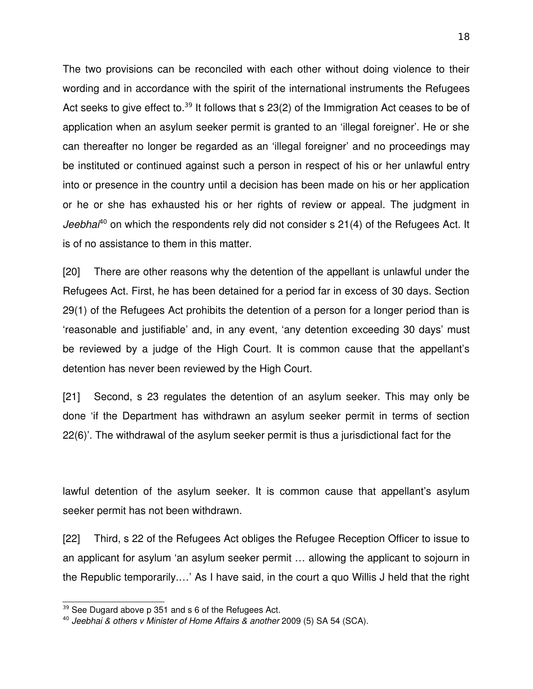The two provisions can be reconciled with each other without doing violence to their wording and in accordance with the spirit of the international instruments the Refugees Act seeks to give effect to.<sup>[39](#page-17-0)</sup> It follows that s  $23(2)$  of the Immigration Act ceases to be of application when an asylum seeker permit is granted to an 'illegal foreigner'. He or she can thereafter no longer be regarded as an 'illegal foreigner' and no proceedings may be instituted or continued against such a person in respect of his or her unlawful entry into or presence in the country until a decision has been made on his or her application or he or she has exhausted his or her rights of review or appeal. The judgment in *Jeebhai*<sup>[40](#page-17-1)</sup> on which the respondents rely did not consider s 21(4) of the Refugees Act. It is of no assistance to them in this matter.

[20] There are other reasons why the detention of the appellant is unlawful under the Refugees Act. First, he has been detained for a period far in excess of 30 days. Section 29(1) of the Refugees Act prohibits the detention of a person for a longer period than is 'reasonable and justifiable' and, in any event, 'any detention exceeding 30 days' must be reviewed by a judge of the High Court. It is common cause that the appellant's detention has never been reviewed by the High Court.

[21] Second, s 23 regulates the detention of an asylum seeker. This may only be done 'if the Department has withdrawn an asylum seeker permit in terms of section 22(6)'. The withdrawal of the asylum seeker permit is thus a jurisdictional fact for the

lawful detention of the asylum seeker. It is common cause that appellant's asylum seeker permit has not been withdrawn.

[22] Third, s 22 of the Refugees Act obliges the Refugee Reception Officer to issue to an applicant for asylum 'an asylum seeker permit … allowing the applicant to sojourn in the Republic temporarily.…' As I have said, in the court a quo Willis J held that the right

<span id="page-17-0"></span><sup>&</sup>lt;sup>39</sup> See Dugard above p 351 and s 6 of the Refugees Act.

<span id="page-17-1"></span><sup>40</sup> *Jeebhai & others v Minister of Home Affairs & another* 2009 (5) SA 54 (SCA).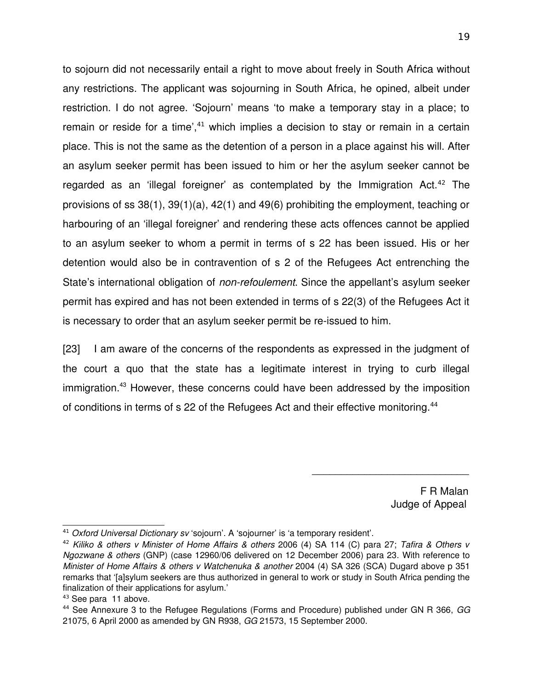to sojourn did not necessarily entail a right to move about freely in South Africa without any restrictions. The applicant was sojourning in South Africa, he opined, albeit under restriction. I do not agree. 'Sojourn' means 'to make a temporary stay in a place; to remain or reside for a time', $41$  which implies a decision to stay or remain in a certain place. This is not the same as the detention of a person in a place against his will. After an asylum seeker permit has been issued to him or her the asylum seeker cannot be regarded as an 'illegal foreigner' as contemplated by the Immigration Act.<sup>[42](#page-18-1)</sup> The provisions of ss 38(1), 39(1)(a), 42(1) and 49(6) prohibiting the employment, teaching or harbouring of an 'illegal foreigner' and rendering these acts offences cannot be applied to an asylum seeker to whom a permit in terms of s 22 has been issued. His or her detention would also be in contravention of s 2 of the Refugees Act entrenching the State's international obligation of *non-refoulement*. Since the appellant's asylum seeker permit has expired and has not been extended in terms of s 22(3) of the Refugees Act it is necessary to order that an asylum seeker permit be re-issued to him.

[23] I am aware of the concerns of the respondents as expressed in the judgment of the court a quo that the state has a legitimate interest in trying to curb illegal immigration.<sup>[43](#page-18-2)</sup> However, these concerns could have been addressed by the imposition of conditions in terms of s 22 of the Refugees Act and their effective monitoring.[44](#page-18-3)

 $\overline{\phantom{a}}$  , and the contract of the contract of the contract of the contract of the contract of the contract of the contract of the contract of the contract of the contract of the contract of the contract of the contrac

 F R Malan Judge of Appeal

<span id="page-18-0"></span><sup>41</sup> *Oxford Universal Dictionary sv* 'sojourn'. A 'sojourner' is 'a temporary resident'.

<span id="page-18-1"></span><sup>42</sup> *Kiliko & others v Minister of Home Affairs & others* 2006 (4) SA 114 (C) para 27; *Tafira & Others v Ngozwane & others* (GNP) (case 12960/06 delivered on 12 December 2006) para 23. With reference to *Minister of Home Affairs & others v Watchenuka & another* 2004 (4) SA 326 (SCA) Dugard above p 351 remarks that '[a]sylum seekers are thus authorized in general to work or study in South Africa pending the finalization of their applications for asylum.'

<span id="page-18-2"></span><sup>43</sup> See para 11 above.

<span id="page-18-3"></span><sup>44</sup> See Annexure 3 to the Refugee Regulations (Forms and Procedure) published under GN R 366, *GG* 21075, 6 April 2000 as amended by GN R938, *GG* 21573, 15 September 2000.